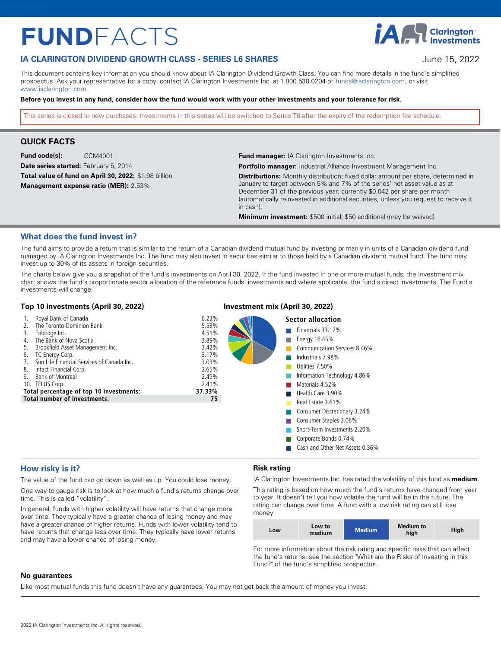# $FUNDFACTS$

# **IA CLARINGTON DIVIDEND GROWTH CLASS - SERIES L6 SHARES June 15, 2022**

This document contains key information you should know about IA Clarington Dividend Growth Class. You can find more details in the fund's simplified prospectus. Ask your representative for a copy, contact IA Clarington Investments Inc. at 1.800.530.0204 or [funds@iaclarington.com](mailto:funds@iaclarington.com) , or visit www.jaclarington.com

#### **Before you invest in any fund, consider how the fund would work with your other investments and your tolerance for risk.**

This series is closed to new purchases. Investments in this series will be switched to Series T6 after the expiry of the redemption fee schedule.

# **QUICK FACTS**

**Fund code(s):** CCM4001 **Date series started:** February 5, 2014 **Total value of fund on April 30, 2022:** \$1.98 billion

**Management expense ratio (MER):** 2.53%

**Fund manager:** IA Clarington Investments Inc.

Portfolio manager: Industrial Alliance Investment Management Inc.

**Distributions:** Monthly distribution; fixed dollar amount per share, determined in January to target between 5% and 7% of the series' net asset value as at December 31 of the previous year; currently \$0.042 per share per month (automatically reinvested in additional securities, unless you request to receive it in cash).

**Minimum investment:** \$500 initial; \$50 additional (may be waived)

# **What does the fund invest in?**

The fund aims to provide a return that is similar to the return of a Canadian dividend mutual fund by investing primarily in units of a Canadian dividend fund managed by IA Clarington Investments Inc. The fund may also invest in securities similar to those held by a Canadian dividend mutual fund. The fund may invest up to 30% of its assets in foreign securities.

The charts below give you a snapshot of the fund's investments on April 30, 2022. If the fund invested in one or more mutual funds, the Investment mix chart shows the fund's proportionate sector allocation of the reference funds' investments and where applicable, the fund's direct investments. The Fund's investments will change.

#### **Top 10 investments (April 30, 2022) Investment mix (April 30, 2022)**

#### 1. Royal Bank of Canada 6.23% 6.23% 6.23% 6.23% 6.23% 6.23% 6.23% 6.23% 6.23% 6.23% 6.23% 6.23% 6.23% 6.23% 6.23% 6.23% 6.23% 6.23% 6.23% 6.23% 6.23% 6.23% 6.23% 6.23% 6.23% 6.23% 6.23% 6.23% 6.23% 6.23% 6.23% 6.23% 6.23% 2. The Toronto-Dominion Bank 5.53% 6.53% 5.53% 5.53% 5.53% 5.53% 5.53% 5.53% 5.53% 5.53% 5.53% 5.53% 5.53% 5.53% 5.53% 5.53% 5.53% 5.53% 5.53% 5.53% 5.53% 5.53% 5.53% 5.53% 5.53% 5.53% 5.53% 5.53% 5.53% 5.53% 5.53% 5.53% 5 3. Enbridge Inc. 4.51% (1998) 1994. The Bank of Nova Scotia (1998) 1996. 4. The Bank of Nova Scotia **3.89%**<br>5. Brookfield Asset Management Inc. **3.42%** 3.42% 5. Brookfield Asset Management Inc.<br>
6. TC Energy Corp. 3.17% TC Energy Corp. 7. Sun Life Financial Services of Canada Inc.<br>8. Intact Financial Corp. 3.03% 3.05% 3.05% 1. Intact Financial Corp.<br>8. Bank of Montreal Corp. 2.65% 2.65% 2.65% 9. Bank of Montreal 2008 (2.49%) 9. 2.49% 2.49% 2.49% 2.49% 2.49% 2.49% 2.49% 2.49% 2.41% 2.41% 2.41% 2.41% 2.41% 10. TELUS Corp. 2.41%<br> **10. Total percentage of top 10 investments:** 27.33% **Total number of investments: 37.33%**  37.33% **37.33%**  37.33% **37.33%**  37.33% **37.33%**  37.33% **37.33%**  37.33% **37.33%**  37.33% **37.33%**  37.33% **37.33%**  37.33% **37.33%**  37.33% **37.33%**  37.33% **37.33%**  37.33% **37.33 Total number of investments: 75**  n

| Sector allocation            |
|------------------------------|
| Financials 33.12%            |
| Energy 16.45%                |
| Communication Services 8.46% |
| Industrials 7.98%            |
| Utilities 7.50%              |
| Information Technology 4.86% |
| Materials 4.52%              |
| Health Care 3.90%            |
| Real Estate 3.61%            |
| Consumer Discretionary 3.24% |
| Consumer Staples 3.06%       |
| Short-Term Investments 2.20% |

- Corporate Bonds 0.74%
- Cash and Other Net Assets 0.36%

# **How risky is it?**

The value of the fund can go down as well as up. You could lose money.

One way to gauge risk is to look at how much a fund's returns change over time. This is called "volatility".

In general, funds with higher volatility will have returns that change more over time. They typically have a greater chance of losing money and may have a greater chance of higher returns. Funds with lower volatility tend to have returns that change less over time. They typically have lower returns and may have a lower chance of losing money.

# **Risk rating**

IA Clarington Investments Inc. has rated the volatility of this fund as **medium** .

This rating is based on how much the fund's returns have changed from year to year. It doesn't tell you how volatile the fund will be in the future. The rating can change over time. A fund with a low risk rating can still lose money.

| Low | Low to<br>medium | Medium <sup>'</sup> | <b>Medium to</b><br>high | High |
|-----|------------------|---------------------|--------------------------|------|
|     |                  |                     |                          |      |

For more information about the risk rating and specific risks that can affect the fund's returns, see the section "What are the Risks of Investing in this Fund?" of the fund's simplified prospectus.

#### **No guarantees**

Like most mutual funds this fund doesn't have any guarantees. You may not get back the amount of money you invest.

**TANY** Clarington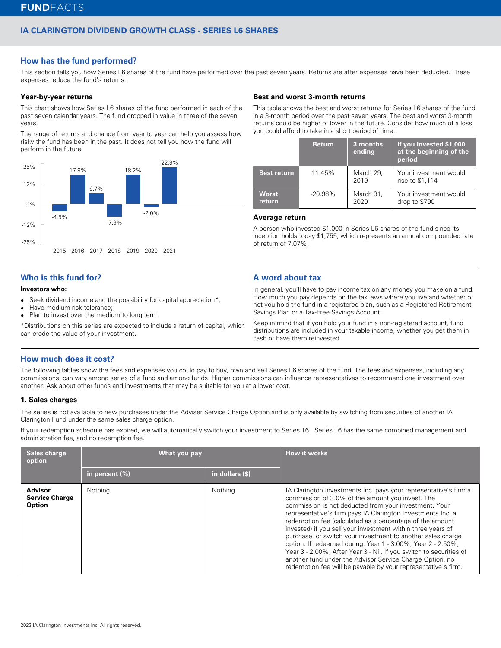# **IA CLARINGTON DIVIDEND GROWTH CLASS - SERIES L6 SHARES**

# **How has the fund performed?**

This section tells you how Series L6 shares of the fund have performed over the past seven years. Returns are after expenses have been deducted. These expenses reduce the fund's returns.

#### **Year-by-year returns**

This chart shows how Series L6 shares of the fund performed in each of the past seven calendar years. The fund dropped in value in three of the seven years.

The range of returns and change from year to year can help you assess how risky the fund has been in the past. It does not tell you how the fund will perform in the future.



# **Who is this fund for?**

#### **Investors who:**

- $\bullet$ Seek dividend income and the possibility for capital appreciation\*;
- lHave medium risk tolerance;
- lPlan to invest over the medium to long term.

\*Distributions on this series are expected to include a return of capital, which can erode the value of your investment.

#### **Best and worst 3-month returns**

This table shows the best and worst returns for Series L6 shares of the fund in a 3-month period over the past seven years. The best and worst 3-month returns could be higher or lower in the future. Consider how much of a loss you could afford to take in a short period of time.

|                        | <b>Return</b> | 3 months<br>ending | If you invested \$1,000<br>at the beginning of the<br>period |
|------------------------|---------------|--------------------|--------------------------------------------------------------|
| <b>Best return</b>     | 11.45%        | March 29,<br>2019  | Your investment would<br>rise to \$1,114                     |
| <b>Worst</b><br>return | $-20.98%$     | March 31,<br>2020  | Your investment would<br>drop to \$790                       |

#### **Average return**

A person who invested \$1,000 in Series L6 shares of the fund since its inception holds today \$1,755, which represents an annual compounded rate of return of 7.07%.

### **A word about tax**

In general, you'll have to pay income tax on any money you make on a fund. How much you pay depends on the tax laws where you live and whether or not you hold the fund in a registered plan, such as a Registered Retirement Savings Plan or a Tax-Free Savings Account.

Keep in mind that if you hold your fund in a non-registered account, fund distributions are included in your taxable income, whether you get them in cash or have them reinvested.

# **How much does it cost?**

The following tables show the fees and expenses you could pay to buy, own and sell Series L6 shares of the fund. The fees and expenses, including any commissions, can vary among series of a fund and among funds. Higher commissions can influence representatives to recommend one investment over another. Ask about other funds and investments that may be suitable for you at a lower cost.

### **1. Sales charges**

The series is not available to new purchases under the Adviser Service Charge Option and is only available by switching from securities of another IA Clarington Fund under the same sales charge option.

If your redemption schedule has expired, we will automatically switch your investment to Series T6. Series T6 has the same combined management and administration fee, and no redemption fee.

| <b>Sales charge</b><br>option                            | What you pay      |                 | <b>How it works</b>                                                                                                                                                                                                                                                                                                                                                                                                                                                                                                                                                                                                                                                                                      |
|----------------------------------------------------------|-------------------|-----------------|----------------------------------------------------------------------------------------------------------------------------------------------------------------------------------------------------------------------------------------------------------------------------------------------------------------------------------------------------------------------------------------------------------------------------------------------------------------------------------------------------------------------------------------------------------------------------------------------------------------------------------------------------------------------------------------------------------|
|                                                          | in percent $(\%)$ | in dollars (\$) |                                                                                                                                                                                                                                                                                                                                                                                                                                                                                                                                                                                                                                                                                                          |
| <b>Advisor</b><br><b>Service Charge</b><br><b>Option</b> | Nothing           | Nothing         | IA Clarington Investments Inc. pays your representative's firm a<br>commission of 3.0% of the amount you invest. The<br>commission is not deducted from your investment. Your<br>representative's firm pays IA Clarington Investments Inc. a<br>redemption fee (calculated as a percentage of the amount<br>invested) if you sell your investment within three years of<br>purchase, or switch your investment to another sales charge<br>option. If redeemed during: Year 1 - 3.00%; Year 2 - 2.50%;<br>Year 3 - 2.00%; After Year 3 - Nil. If you switch to securities of<br>another fund under the Advisor Service Charge Option, no<br>redemption fee will be payable by your representative's firm. |